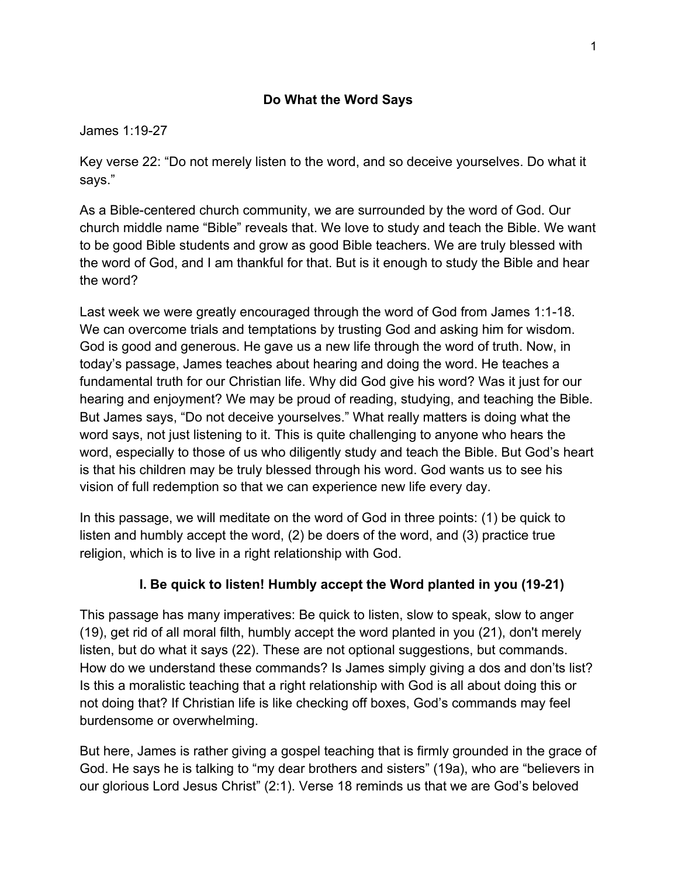#### **Do What the Word Says**

#### James 1:19-27

Key verse 22: "Do not merely listen to the word, and so deceive yourselves. Do what it says."

As a Bible-centered church community, we are surrounded by the word of God. Our church middle name "Bible" reveals that. We love to study and teach the Bible. We want to be good Bible students and grow as good Bible teachers. We are truly blessed with the word of God, and I am thankful for that. But is it enough to study the Bible and hear the word?

Last week we were greatly encouraged through the word of God from James 1:1-18. We can overcome trials and temptations by trusting God and asking him for wisdom. God is good and generous. He gave us a new life through the word of truth. Now, in today's passage, James teaches about hearing and doing the word. He teaches a fundamental truth for our Christian life. Why did God give his word? Was it just for our hearing and enjoyment? We may be proud of reading, studying, and teaching the Bible. But James says, "Do not deceive yourselves." What really matters is doing what the word says, not just listening to it. This is quite challenging to anyone who hears the word, especially to those of us who diligently study and teach the Bible. But God's heart is that his children may be truly blessed through his word. God wants us to see his vision of full redemption so that we can experience new life every day.

In this passage, we will meditate on the word of God in three points: (1) be quick to listen and humbly accept the word, (2) be doers of the word, and (3) practice true religion, which is to live in a right relationship with God.

#### **I. Be quick to listen! Humbly accept the Word planted in you (19-21)**

This passage has many imperatives: Be quick to listen, slow to speak, slow to anger (19), get rid of all moral filth, humbly accept the word planted in you (21), don't merely listen, but do what it says (22). These are not optional suggestions, but commands. How do we understand these commands? Is James simply giving a dos and don'ts list? Is this a moralistic teaching that a right relationship with God is all about doing this or not doing that? If Christian life is like checking off boxes, God's commands may feel burdensome or overwhelming.

But here, James is rather giving a gospel teaching that is firmly grounded in the grace of God. He says he is talking to "my dear brothers and sisters" (19a), who are "believers in our glorious Lord Jesus Christ" (2:1). Verse 18 reminds us that we are God's beloved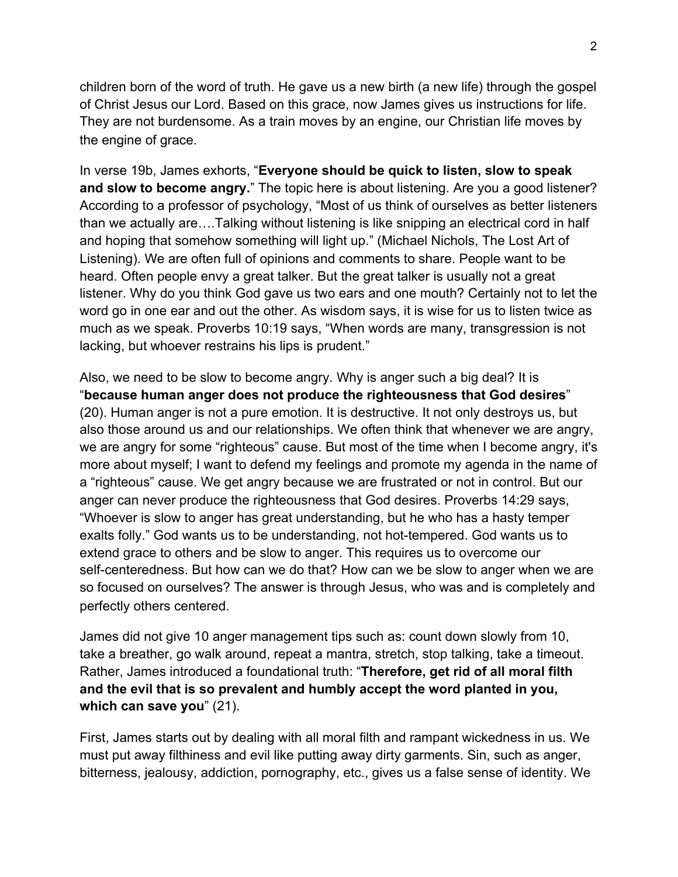children born of the word of truth. He gave us a new birth (a new life) through the gospel of Christ Jesus our Lord. Based on this grace, now James gives us instructions for life. They are not burdensome. As a train moves by an engine, our Christian life moves by the engine of grace.

In verse 19b, James exhorts, "**Everyone should be quick to listen, slow to speak and slow to become angry.**" The topic here is about listening. Are you a good listener? According to a professor of psychology, "Most of us think of ourselves as better listeners than we actually are….Talking without listening is like snipping an electrical cord in half and hoping that somehow something will light up." (Michael Nichols, The Lost Art of Listening). We are often full of opinions and comments to share. People want to be heard. Often people envy a great talker. But the great talker is usually not a great listener. Why do you think God gave us two ears and one mouth? Certainly not to let the word go in one ear and out the other. As wisdom says, it is wise for us to listen twice as much as we speak. Proverbs 10:19 says, "When words are many, transgression is not lacking, but whoever restrains his lips is prudent."

Also, we need to be slow to become angry. Why is anger such a big deal? It is "**because human anger does not produce the righteousness that God desires**" (20). Human anger is not a pure emotion. It is destructive. It not only destroys us, but also those around us and our relationships. We often think that whenever we are angry, we are angry for some "righteous" cause. But most of the time when I become angry, it's more about myself; I want to defend my feelings and promote my agenda in the name of a "righteous" cause. We get angry because we are frustrated or not in control. But our anger can never produce the righteousness that God desires. Proverbs 14:29 says, "Whoever is slow to anger has great understanding, but he who has a hasty temper exalts folly." God wants us to be understanding, not hot-tempered. God wants us to extend grace to others and be slow to anger. This requires us to overcome our self-centeredness. But how can we do that? How can we be slow to anger when we are so focused on ourselves? The answer is through Jesus, who was and is completely and perfectly others centered.

James did not give 10 anger management tips such as: count down slowly from 10, take a breather, go walk around, repeat a mantra, stretch, stop talking, take a timeout. Rather, James introduced a foundational truth: "**Therefore, get rid of all moral filth and the evil that is so prevalent and humbly accept the word planted in you, which can save you**" (21).

First, James starts out by dealing with all moral filth and rampant wickedness in us. We must put away filthiness and evil like putting away dirty garments. Sin, such as anger, bitterness, jealousy, addiction, pornography, etc., gives us a false sense of identity. We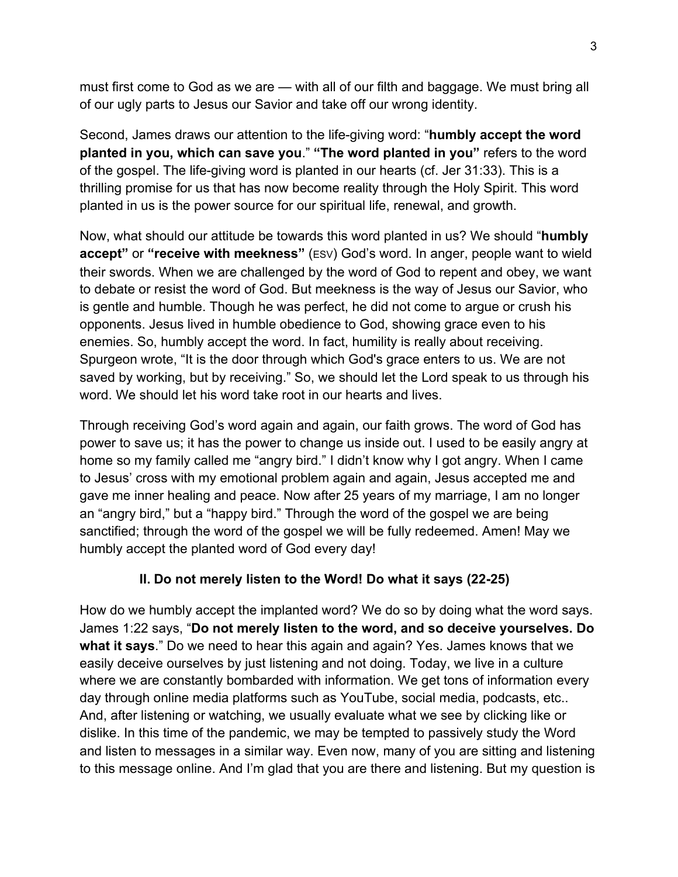must first come to God as we are — with all of our filth and baggage. We must bring all of our ugly parts to Jesus our Savior and take off our wrong identity.

Second, James draws our attention to the life-giving word: "**humbly accept the word planted in you, which can save you**." **"The word planted in you"** refers to the word of the gospel. The life-giving word is planted in our hearts (cf. Jer 31:33). This is a thrilling promise for us that has now become reality through the Holy Spirit. This word planted in us is the power source for our spiritual life, renewal, and growth.

Now, what should our attitude be towards this word planted in us? We should "**humbly accept"** or **"receive with meekness"** (ESV) God's word. In anger, people want to wield their swords. When we are challenged by the word of God to repent and obey, we want to debate or resist the word of God. But meekness is the way of Jesus our Savior, who is gentle and humble. Though he was perfect, he did not come to argue or crush his opponents. Jesus lived in humble obedience to God, showing grace even to his enemies. So, humbly accept the word. In fact, humility is really about receiving. Spurgeon wrote, "It is the door through which God's grace enters to us. We are not saved by working, but by receiving." So, we should let the Lord speak to us through his word. We should let his word take root in our hearts and lives.

Through receiving God's word again and again, our faith grows. The word of God has power to save us; it has the power to change us inside out. I used to be easily angry at home so my family called me "angry bird." I didn't know why I got angry. When I came to Jesus' cross with my emotional problem again and again, Jesus accepted me and gave me inner healing and peace. Now after 25 years of my marriage, I am no longer an "angry bird," but a "happy bird." Through the word of the gospel we are being sanctified; through the word of the gospel we will be fully redeemed. Amen! May we humbly accept the planted word of God every day!

# **II. Do not merely listen to the Word! Do what it says (22-25)**

How do we humbly accept the implanted word? We do so by doing what the word says. James 1:22 says, "**Do not merely listen to the word, and so deceive yourselves. Do what it says**." Do we need to hear this again and again? Yes. James knows that we easily deceive ourselves by just listening and not doing. Today, we live in a culture where we are constantly bombarded with information. We get tons of information every day through online media platforms such as YouTube, social media, podcasts, etc.. And, after listening or watching, we usually evaluate what we see by clicking like or dislike. In this time of the pandemic, we may be tempted to passively study the Word and listen to messages in a similar way. Even now, many of you are sitting and listening to this message online. And I'm glad that you are there and listening. But my question is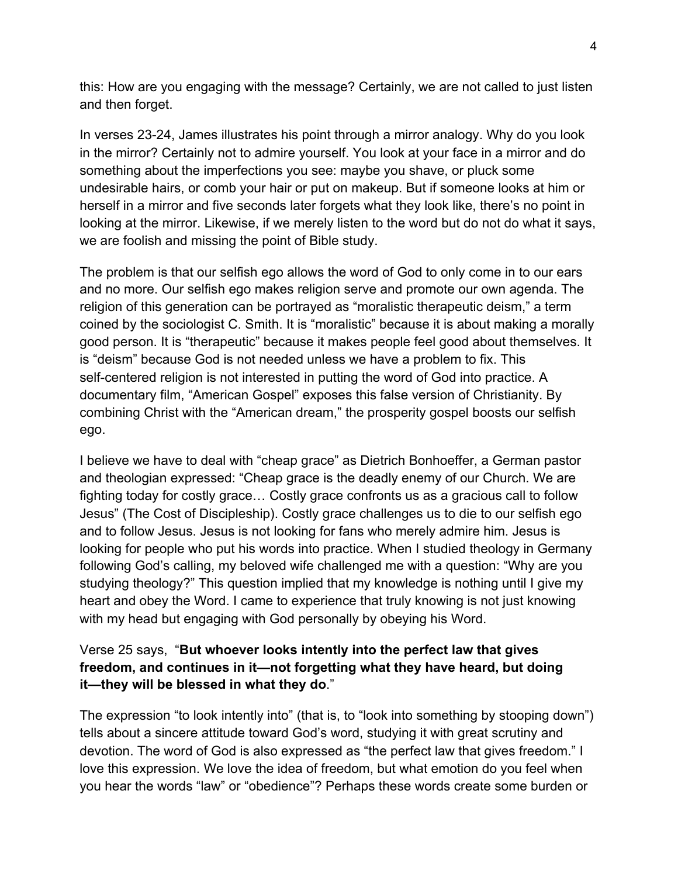this: How are you engaging with the message? Certainly, we are not called to just listen and then forget.

In verses 23-24, James illustrates his point through a mirror analogy. Why do you look in the mirror? Certainly not to admire yourself. You look at your face in a mirror and do something about the imperfections you see: maybe you shave, or pluck some undesirable hairs, or comb your hair or put on makeup. But if someone looks at him or herself in a mirror and five seconds later forgets what they look like, there's no point in looking at the mirror. Likewise, if we merely listen to the word but do not do what it says, we are foolish and missing the point of Bible study.

The problem is that our selfish ego allows the word of God to only come in to our ears and no more. Our selfish ego makes religion serve and promote our own agenda. The religion of this generation can be portrayed as "moralistic therapeutic deism," a term coined by the sociologist C. Smith. It is "moralistic" because it is about making a morally good person. It is "therapeutic" because it makes people feel good about themselves. It is "deism" because God is not needed unless we have a problem to fix. This self-centered religion is not interested in putting the word of God into practice. A documentary film, "American Gospel" exposes this false version of Christianity. By combining Christ with the "American dream," the prosperity gospel boosts our selfish ego.

I believe we have to deal with "cheap grace" as Dietrich Bonhoeffer, a German pastor and theologian expressed: "Cheap grace is the deadly enemy of our Church. We are fighting today for costly grace… Costly grace confronts us as a gracious call to follow Jesus" (The Cost of Discipleship). Costly grace challenges us to die to our selfish ego and to follow Jesus. Jesus is not looking for fans who merely admire him. Jesus is looking for people who put his words into practice. When I studied theology in Germany following God's calling, my beloved wife challenged me with a question: "Why are you studying theology?" This question implied that my knowledge is nothing until I give my heart and obey the Word. I came to experience that truly knowing is not just knowing with my head but engaging with God personally by obeying his Word.

### Verse 25 says, "**But whoever looks intently into the perfect law that gives freedom, and continues in it—not forgetting what they have heard, but doing it—they will be blessed in what they do**."

The expression "to look intently into" (that is, to "look into something by stooping down") tells about a sincere attitude toward God's word, studying it with great scrutiny and devotion. The word of God is also expressed as "the perfect law that gives freedom." I love this expression. We love the idea of freedom, but what emotion do you feel when you hear the words "law" or "obedience"? Perhaps these words create some burden or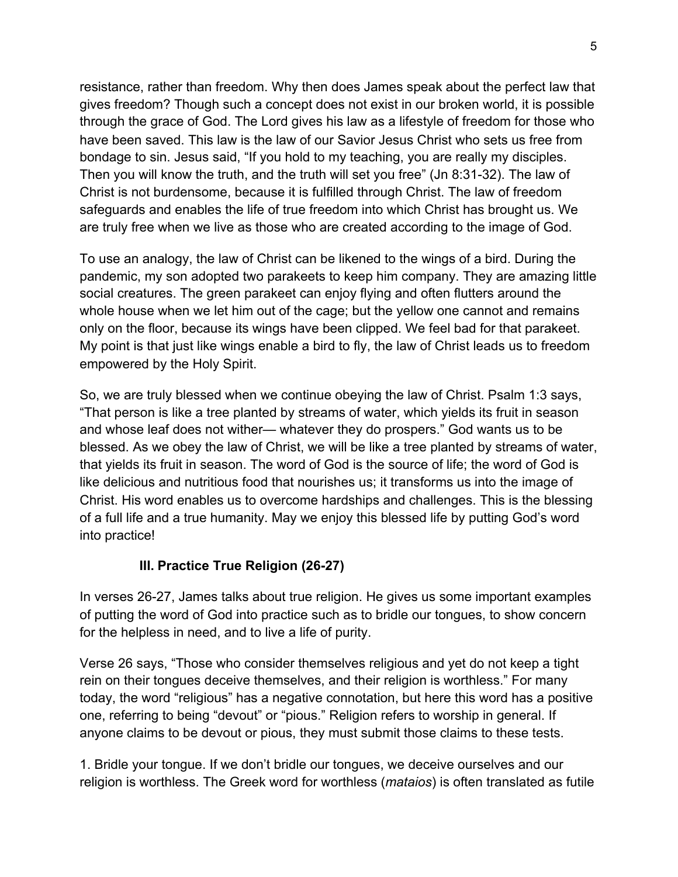resistance, rather than freedom. Why then does James speak about the perfect law that gives freedom? Though such a concept does not exist in our broken world, it is possible through the grace of God. The Lord gives his law as a lifestyle of freedom for those who have been saved. This law is the law of our Savior Jesus Christ who sets us free from bondage to sin. Jesus said, "If you hold to my teaching, you are really my disciples. Then you will know the truth, and the truth will set you free" (Jn 8:31-32). The law of Christ is not burdensome, because it is fulfilled through Christ. The law of freedom safeguards and enables the life of true freedom into which Christ has brought us. We are truly free when we live as those who are created according to the image of God.

To use an analogy, the law of Christ can be likened to the wings of a bird. During the pandemic, my son adopted two parakeets to keep him company. They are amazing little social creatures. The green parakeet can enjoy flying and often flutters around the whole house when we let him out of the cage; but the yellow one cannot and remains only on the floor, because its wings have been clipped. We feel bad for that parakeet. My point is that just like wings enable a bird to fly, the law of Christ leads us to freedom empowered by the Holy Spirit.

So, we are truly blessed when we continue obeying the law of Christ. Psalm 1:3 says, "That person is like a tree planted by streams of water, which yields its fruit in season and whose leaf does not wither— whatever they do prospers." God wants us to be blessed. As we obey the law of Christ, we will be like a tree planted by streams of water, that yields its fruit in season. The word of God is the source of life; the word of God is like delicious and nutritious food that nourishes us; it transforms us into the image of Christ. His word enables us to overcome hardships and challenges. This is the blessing of a full life and a true humanity. May we enjoy this blessed life by putting God's word into practice!

# **III. Practice True Religion (26-27)**

In verses 26-27, James talks about true religion. He gives us some important examples of putting the word of God into practice such as to bridle our tongues, to show concern for the helpless in need, and to live a life of purity.

Verse 26 says, "Those who consider themselves religious and yet do not keep a tight rein on their tongues deceive themselves, and their religion is worthless." For many today, the word "religious" has a negative connotation, but here this word has a positive one, referring to being "devout" or "pious." Religion refers to worship in general. If anyone claims to be devout or pious, they must submit those claims to these tests.

1. Bridle your tongue. If we don't bridle our tongues, we deceive ourselves and our religion is worthless. The Greek word for worthless (*mataios*) is often translated as futile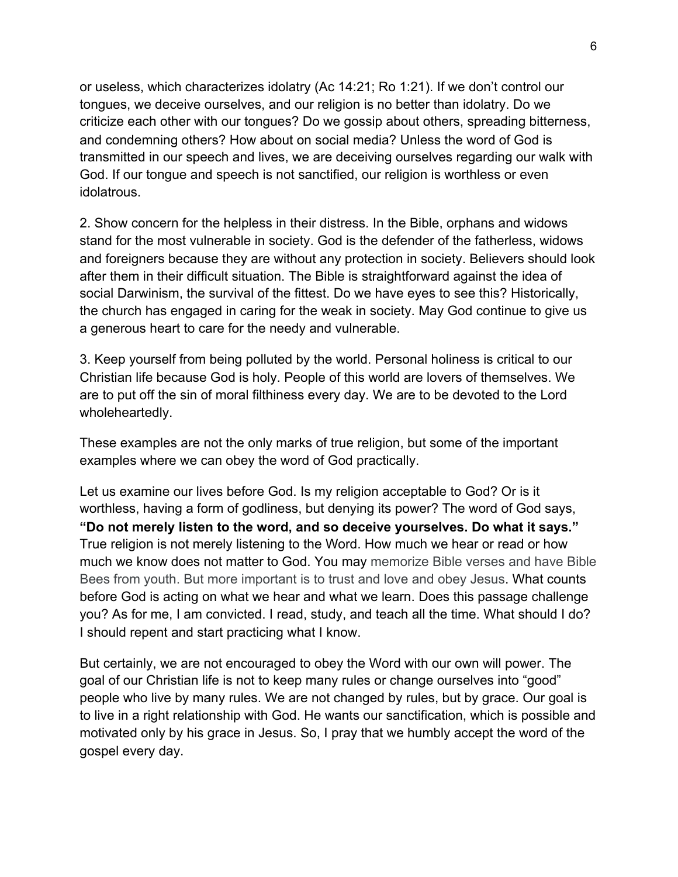or useless, which characterizes idolatry (Ac 14:21; Ro 1:21). If we don't control our tongues, we deceive ourselves, and our religion is no better than idolatry. Do we criticize each other with our tongues? Do we gossip about others, spreading bitterness, and condemning others? How about on social media? Unless the word of God is transmitted in our speech and lives, we are deceiving ourselves regarding our walk with God. If our tongue and speech is not sanctified, our religion is worthless or even idolatrous.

2. Show concern for the helpless in their distress. In the Bible, orphans and widows stand for the most vulnerable in society. God is the defender of the fatherless, widows and foreigners because they are without any protection in society. Believers should look after them in their difficult situation. The Bible is straightforward against the idea of social Darwinism, the survival of the fittest. Do we have eyes to see this? Historically, the church has engaged in caring for the weak in society. May God continue to give us a generous heart to care for the needy and vulnerable.

3. Keep yourself from being polluted by the world. Personal holiness is critical to our Christian life because God is holy. People of this world are lovers of themselves. We are to put off the sin of moral filthiness every day. We are to be devoted to the Lord wholeheartedly.

These examples are not the only marks of true religion, but some of the important examples where we can obey the word of God practically.

Let us examine our lives before God. Is my religion acceptable to God? Or is it worthless, having a form of godliness, but denying its power? The word of God says, **"Do not merely listen to the word, and so deceive yourselves. Do what it says."** True religion is not merely listening to the Word. How much we hear or read or how much we know does not matter to God. You may memorize Bible verses and have Bible Bees from youth. But more important is to trust and love and obey Jesus. What counts before God is acting on what we hear and what we learn. Does this passage challenge you? As for me, I am convicted. I read, study, and teach all the time. What should I do? I should repent and start practicing what I know.

But certainly, we are not encouraged to obey the Word with our own will power. The goal of our Christian life is not to keep many rules or change ourselves into "good" people who live by many rules. We are not changed by rules, but by grace. Our goal is to live in a right relationship with God. He wants our sanctification, which is possible and motivated only by his grace in Jesus. So, I pray that we humbly accept the word of the gospel every day.